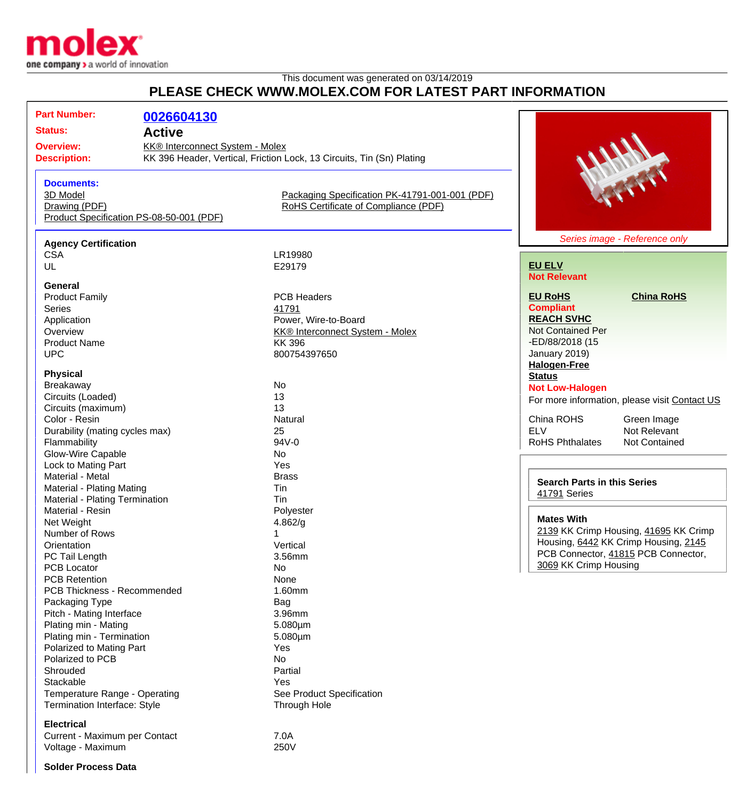

## This document was generated on 03/14/2019 **PLEASE CHECK WWW.MOLEX.COM FOR LATEST PART INFORMATION**

| PLEASE CHECK WWW.MOLEX.COM FOR LATEST PART INFORMATION                                                                                                                                                   |                                                                |                                                                                                                               |                                                                                                                                                                                                                          |
|----------------------------------------------------------------------------------------------------------------------------------------------------------------------------------------------------------|----------------------------------------------------------------|-------------------------------------------------------------------------------------------------------------------------------|--------------------------------------------------------------------------------------------------------------------------------------------------------------------------------------------------------------------------|
| <b>Part Number:</b><br><b>Status:</b><br><b>Overview:</b><br><b>Description:</b>                                                                                                                         | 0026604130<br><b>Active</b><br>KK® Interconnect System - Molex | KK 396 Header, Vertical, Friction Lock, 13 Circuits, Tin (Sn) Plating                                                         | <b>READY</b>                                                                                                                                                                                                             |
| <b>Documents:</b><br>3D Model<br>Drawing (PDF)<br>Product Specification PS-08-50-001 (PDF)                                                                                                               |                                                                | Packaging Specification PK-41791-001-001 (PDF)<br>RoHS Certificate of Compliance (PDF)                                        |                                                                                                                                                                                                                          |
| <b>Agency Certification</b><br><b>CSA</b><br>UL                                                                                                                                                          |                                                                | LR19980<br>E29179                                                                                                             | Series image - Reference only<br><b>EU ELV</b><br><b>Not Relevant</b>                                                                                                                                                    |
| <b>General</b><br><b>Product Family</b><br>Series<br>Application<br>Overview<br><b>Product Name</b><br><b>UPC</b>                                                                                        |                                                                | <b>PCB Headers</b><br>41791<br>Power, Wire-to-Board<br><b>KK® Interconnect System - Molex</b><br><b>KK396</b><br>800754397650 | <b>China RoHS</b><br><b>EU RoHS</b><br><b>Compliant</b><br><b>REACH SVHC</b><br><b>Not Contained Per</b><br>-ED/88/2018 (15<br>January 2019)<br><b>Halogen-Free</b>                                                      |
| <b>Physical</b><br>Breakaway<br>Circuits (Loaded)<br>Circuits (maximum)<br>Color - Resin<br>Durability (mating cycles max)<br>Flammability<br>Glow-Wire Capable                                          |                                                                | No<br>13<br>13<br>Natural<br>25<br>94V-0<br>No                                                                                | <b>Status</b><br><b>Not Low-Halogen</b><br>For more information, please visit Contact US<br>China ROHS<br>Green Image<br><b>ELV</b><br>Not Relevant<br><b>RoHS Phthalates</b><br>Not Contained                           |
| Lock to Mating Part<br>Material - Metal<br>Material - Plating Mating<br>Material - Plating Termination<br>Material - Resin<br>Net Weight<br>Number of Rows<br>Orientation<br>PC Tail Length              |                                                                | Yes<br><b>Brass</b><br>Tin<br>Tin<br>Polyester<br>4.862/g<br>Vertical<br>3.56mm                                               | <b>Search Parts in this Series</b><br>41791 Series<br><b>Mates With</b><br>2139 KK Crimp Housing, 41695 KK Crimp<br>Housing, 6442 KK Crimp Housing, 2145<br>PCB Connector, 41815 PCB Connector,<br>3069 KK Crimp Housing |
| <b>PCB Locator</b><br><b>PCB Retention</b><br>PCB Thickness - Recommended<br>Packaging Type<br>Pitch - Mating Interface<br>Plating min - Mating<br>Plating min - Termination<br>Polarized to Mating Part |                                                                | No<br>None<br>1.60mm<br>Bag<br>3.96mm<br>$5.080 \mu m$<br>$5.080 \mu m$<br><b>Yes</b>                                         |                                                                                                                                                                                                                          |

Polarized to Mating Part **Yes** Polarized to PCB No Shrouded **Partial** Stackable<br>
Temperature Range - Operating<br>
Temperature Range - Operating<br>
Yes
See Product Specification Temperature Range - Operating Termination Interface: Style Through Hole

## **Electrical**

Current - Maximum per Contact<br>Voltage - Maximum 7.0A Voltage - Maximum

**Solder Process Data**